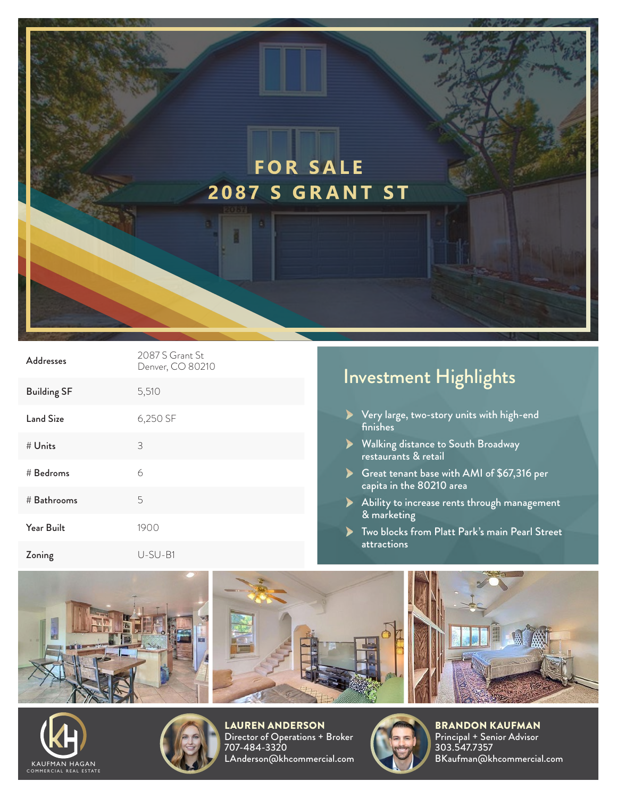## **FOR SALE 2087 S GRANT ST**

| <b>Addresses</b>   | 2087 S Grant St.<br>Denver, CO 80210 |
|--------------------|--------------------------------------|
| <b>Building SF</b> | 5,510                                |
| Land Size          | 6,250 SF                             |
| # Units            | 3                                    |
| # Bedroms          | 6                                    |
| # Bathrooms        | 5                                    |
| Year Built         | 1900                                 |
| Zoning             | $U-SU-B1$                            |

## Investment Highlights

- Very large, two-story units with high-end finishes
- Walking distance to South Broadway restaurants & retail
- Great tenant base with AMI of \$67,316 per capita in the 80210 area
- Ability to increase rents through management & marketing
- **Two blocks from Platt Park's main Pearl Street** attractions







LAUREN ANDERSON Director of Operations + Broker 707-484-3320 LAnderson@khcommercial.com



BRANDON KAUFMAN Principal + Senior Advisor 303.547.7357 BKaufman@khcommercial.com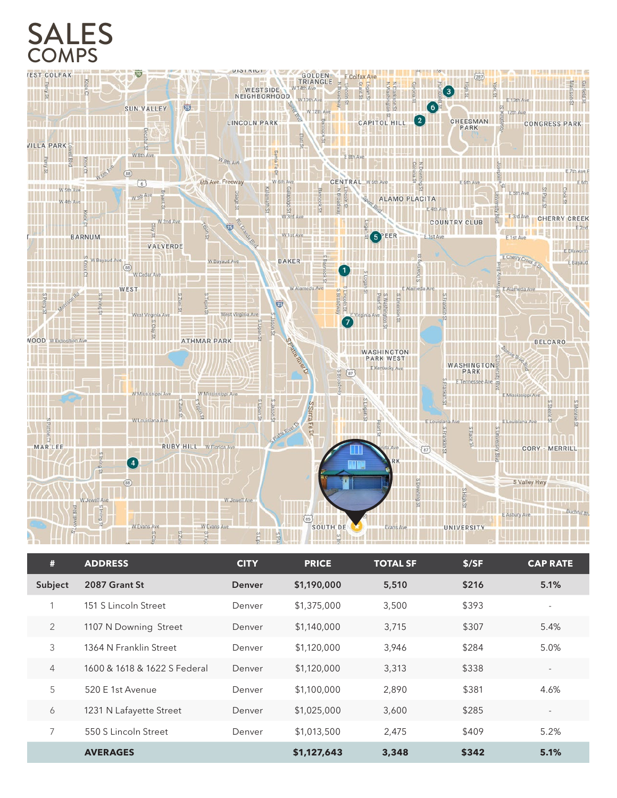## SALES



| #              | <b>ADDRESS</b>               | <b>CITY</b> | <b>PRICE</b> | <b>TOTAL SF</b> | \$/SF | <b>CAP RATE</b>          |
|----------------|------------------------------|-------------|--------------|-----------------|-------|--------------------------|
| Subject        | 2087 Grant St                | Denver      | \$1,190,000  | 5,510           | \$216 | 5.1%                     |
| 1              | 151 S Lincoln Street         | Denver      | \$1,375,000  | 3,500           | \$393 | ٠                        |
| 2              | 1107 N Downing Street        | Denver      | \$1,140,000  | 3,715           | \$307 | 5.4%                     |
| 3              | 1364 N Franklin Street       | Denver      | \$1,120,000  | 3,946           | \$284 | 5.0%                     |
| $\overline{4}$ | 1600 & 1618 & 1622 S Federal | Denver      | \$1,120,000  | 3,313           | \$338 | $\sim$                   |
| 5              | 520 E 1st Avenue             | Denver      | \$1,100,000  | 2,890           | \$381 | 4.6%                     |
| 6              | 1231 N Lafayette Street      | Denver      | \$1,025,000  | 3,600           | \$285 | $\overline{\phantom{a}}$ |
| 7              | 550 S Lincoln Street         | Denver      | \$1,013,500  | 2,475           | \$409 | 5.2%                     |
|                | <b>AVERAGES</b>              |             | \$1,127,643  | 3,348           | \$342 | 5.1%                     |